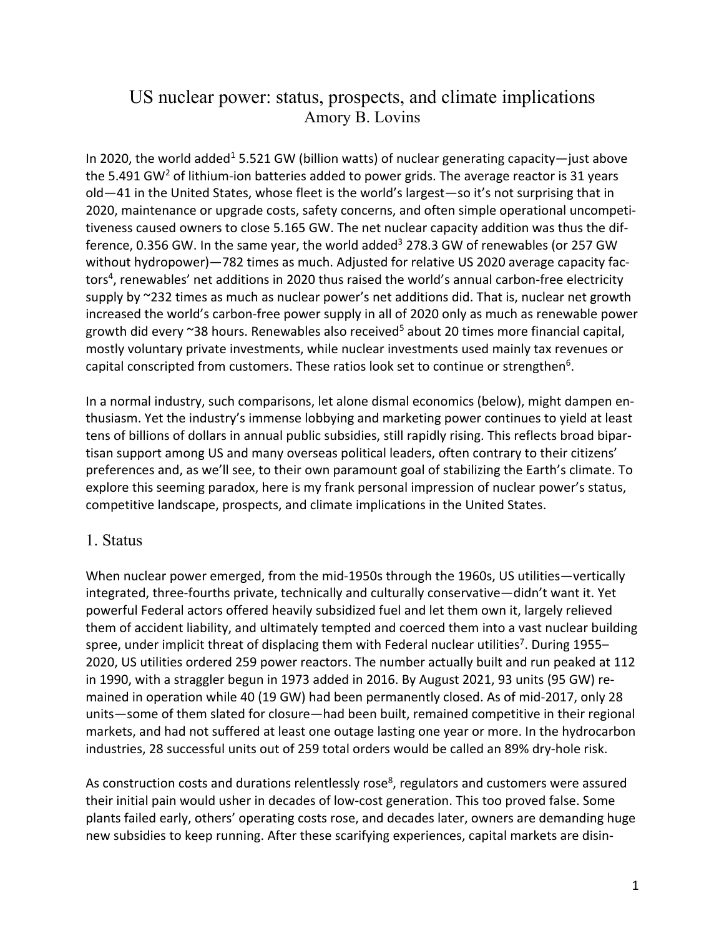# US nuclear power: status, prospects, and climate implications Amory B. Lovins

In 2020, the world added<sup>1</sup> 5.521 GW (billion watts) of nuclear generating capacity—just above the 5.491 GW<sup>2</sup> of lithium-ion batteries added to power grids. The average reactor is 31 years old—41 in the United States, whose fleet is the world's largest—so it's not surprising that in 2020, maintenance or upgrade costs, safety concerns, and often simple operational uncompetitiveness caused owners to close 5.165 GW. The net nuclear capacity addition was thus the difference, 0.356 GW. In the same year, the world added<sup>3</sup> 278.3 GW of renewables (or 257 GW without hydropower)—782 times as much. Adjusted for relative US 2020 average capacity factors<sup>4</sup>, renewables' net additions in 2020 thus raised the world's annual carbon-free electricity supply by ~232 times as much as nuclear power's net additions did. That is, nuclear net growth increased the world's carbon-free power supply in all of 2020 only as much as renewable power growth did every  $\sim$ 38 hours. Renewables also received<sup>5</sup> about 20 times more financial capital, mostly voluntary private investments, while nuclear investments used mainly tax revenues or capital conscripted from customers. These ratios look set to continue or strengthen<sup>6</sup>.

In a normal industry, such comparisons, let alone dismal economics (below), might dampen enthusiasm. Yet the industry's immense lobbying and marketing power continues to yield at least tens of billions of dollars in annual public subsidies, still rapidly rising. This reflects broad bipartisan support among US and many overseas political leaders, often contrary to their citizens' preferences and, as we'll see, to their own paramount goal of stabilizing the Earth's climate. To explore this seeming paradox, here is my frank personal impression of nuclear power's status, competitive landscape, prospects, and climate implications in the United States.

### 1. Status

When nuclear power emerged, from the mid-1950s through the 1960s, US utilities—vertically integrated, three-fourths private, technically and culturally conservative—didn't want it. Yet powerful Federal actors offered heavily subsidized fuel and let them own it, largely relieved them of accident liability, and ultimately tempted and coerced them into a vast nuclear building spree, under implicit threat of displacing them with Federal nuclear utilities<sup>7</sup>. During 1955– 2020, US utilities ordered 259 power reactors. The number actually built and run peaked at 112 in 1990, with a straggler begun in 1973 added in 2016. By August 2021, 93 units (95 GW) remained in operation while 40 (19 GW) had been permanently closed. As of mid-2017, only 28 units—some of them slated for closure—had been built, remained competitive in their regional markets, and had not suffered at least one outage lasting one year or more. In the hydrocarbon industries, 28 successful units out of 259 total orders would be called an 89% dry-hole risk.

As construction costs and durations relentlessly rose<sup>8</sup>, regulators and customers were assured their initial pain would usher in decades of low-cost generation. This too proved false. Some plants failed early, others' operating costs rose, and decades later, owners are demanding huge new subsidies to keep running. After these scarifying experiences, capital markets are disin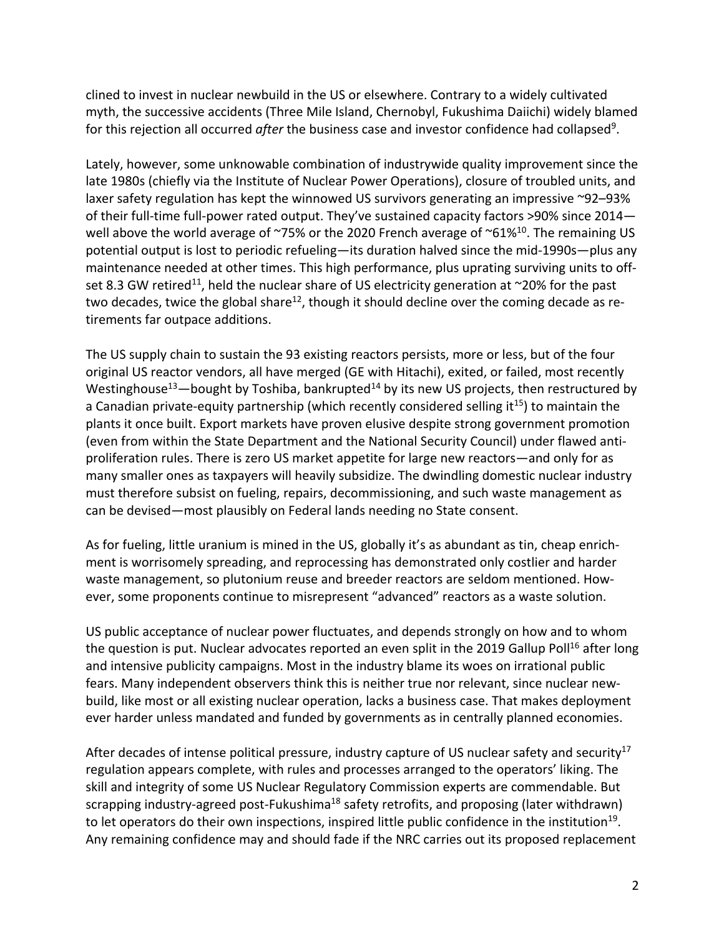clined to invest in nuclear newbuild in the US or elsewhere. Contrary to a widely cultivated myth, the successive accidents (Three Mile Island, Chernobyl, Fukushima Daiichi) widely blamed for this rejection all occurred *after* the business case and investor confidence had collapsed<sup>9</sup>.

Lately, however, some unknowable combination of industrywide quality improvement since the late 1980s (chiefly via the Institute of Nuclear Power Operations), closure of troubled units, and laxer safety regulation has kept the winnowed US survivors generating an impressive ~92–93% of their full-time full-power rated output. They've sustained capacity factors >90% since 2014 well above the world average of  $\sim$ 75% or the 2020 French average of  $\sim$ 61%<sup>10</sup>. The remaining US potential output is lost to periodic refueling—its duration halved since the mid-1990s—plus any maintenance needed at other times. This high performance, plus uprating surviving units to offset 8.3 GW retired<sup>11</sup>, held the nuclear share of US electricity generation at  $\sim$ 20% for the past two decades, twice the global share<sup>12</sup>, though it should decline over the coming decade as retirements far outpace additions.

The US supply chain to sustain the 93 existing reactors persists, more or less, but of the four original US reactor vendors, all have merged (GE with Hitachi), exited, or failed, most recently Westinghouse<sup>13</sup>—bought by Toshiba, bankrupted<sup>14</sup> by its new US projects, then restructured by a Canadian private-equity partnership (which recently considered selling it<sup>15</sup>) to maintain the plants it once built. Export markets have proven elusive despite strong government promotion (even from within the State Department and the National Security Council) under flawed antiproliferation rules. There is zero US market appetite for large new reactors—and only for as many smaller ones as taxpayers will heavily subsidize. The dwindling domestic nuclear industry must therefore subsist on fueling, repairs, decommissioning, and such waste management as can be devised—most plausibly on Federal lands needing no State consent.

As for fueling, little uranium is mined in the US, globally it's as abundant as tin, cheap enrichment is worrisomely spreading, and reprocessing has demonstrated only costlier and harder waste management, so plutonium reuse and breeder reactors are seldom mentioned. However, some proponents continue to misrepresent "advanced" reactors as a waste solution.

US public acceptance of nuclear power fluctuates, and depends strongly on how and to whom the question is put. Nuclear advocates reported an even split in the 2019 Gallup Poll<sup>16</sup> after long and intensive publicity campaigns. Most in the industry blame its woes on irrational public fears. Many independent observers think this is neither true nor relevant, since nuclear newbuild, like most or all existing nuclear operation, lacks a business case. That makes deployment ever harder unless mandated and funded by governments as in centrally planned economies.

After decades of intense political pressure, industry capture of US nuclear safety and security<sup>17</sup> regulation appears complete, with rules and processes arranged to the operators' liking. The skill and integrity of some US Nuclear Regulatory Commission experts are commendable. But scrapping industry-agreed post-Fukushima<sup>18</sup> safety retrofits, and proposing (later withdrawn) to let operators do their own inspections, inspired little public confidence in the institution<sup>19</sup>. Any remaining confidence may and should fade if the NRC carries out its proposed replacement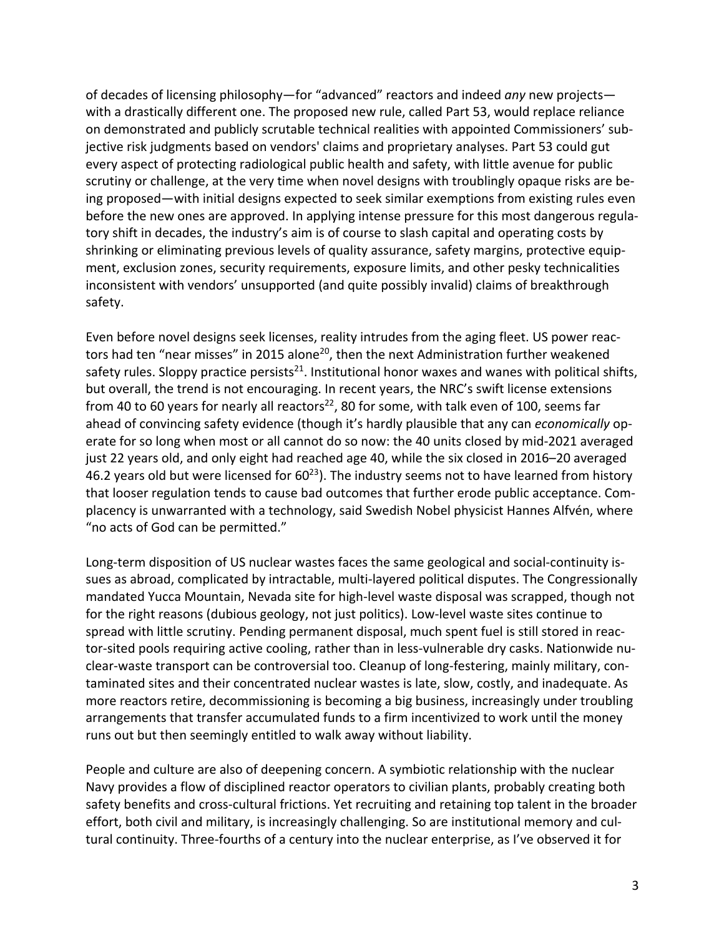of decades of licensing philosophy—for "advanced" reactors and indeed *any* new projects with a drastically different one. The proposed new rule, called Part 53, would replace reliance on demonstrated and publicly scrutable technical realities with appointed Commissioners' subjective risk judgments based on vendors' claims and proprietary analyses. Part 53 could gut every aspect of protecting radiological public health and safety, with little avenue for public scrutiny or challenge, at the very time when novel designs with troublingly opaque risks are being proposed—with initial designs expected to seek similar exemptions from existing rules even before the new ones are approved. In applying intense pressure for this most dangerous regulatory shift in decades, the industry's aim is of course to slash capital and operating costs by shrinking or eliminating previous levels of quality assurance, safety margins, protective equipment, exclusion zones, security requirements, exposure limits, and other pesky technicalities inconsistent with vendors' unsupported (and quite possibly invalid) claims of breakthrough safety.

Even before novel designs seek licenses, reality intrudes from the aging fleet. US power reactors had ten "near misses" in 2015 alone<sup>20</sup>, then the next Administration further weakened safety rules. Sloppy practice persists<sup>21</sup>. Institutional honor waxes and wanes with political shifts, but overall, the trend is not encouraging. In recent years, the NRC's swift license extensions from 40 to 60 years for nearly all reactors<sup>22</sup>, 80 for some, with talk even of 100, seems far ahead of convincing safety evidence (though it's hardly plausible that any can *economically* operate for so long when most or all cannot do so now: the 40 units closed by mid-2021 averaged just 22 years old, and only eight had reached age 40, while the six closed in 2016–20 averaged 46.2 years old but were licensed for  $60^{23}$ ). The industry seems not to have learned from history that looser regulation tends to cause bad outcomes that further erode public acceptance. Complacency is unwarranted with a technology, said Swedish Nobel physicist Hannes Alfvén, where "no acts of God can be permitted."

Long-term disposition of US nuclear wastes faces the same geological and social-continuity issues as abroad, complicated by intractable, multi-layered political disputes. The Congressionally mandated Yucca Mountain, Nevada site for high-level waste disposal was scrapped, though not for the right reasons (dubious geology, not just politics). Low-level waste sites continue to spread with little scrutiny. Pending permanent disposal, much spent fuel is still stored in reactor-sited pools requiring active cooling, rather than in less-vulnerable dry casks. Nationwide nuclear-waste transport can be controversial too. Cleanup of long-festering, mainly military, contaminated sites and their concentrated nuclear wastes is late, slow, costly, and inadequate. As more reactors retire, decommissioning is becoming a big business, increasingly under troubling arrangements that transfer accumulated funds to a firm incentivized to work until the money runs out but then seemingly entitled to walk away without liability.

People and culture are also of deepening concern. A symbiotic relationship with the nuclear Navy provides a flow of disciplined reactor operators to civilian plants, probably creating both safety benefits and cross-cultural frictions. Yet recruiting and retaining top talent in the broader effort, both civil and military, is increasingly challenging. So are institutional memory and cultural continuity. Three-fourths of a century into the nuclear enterprise, as I've observed it for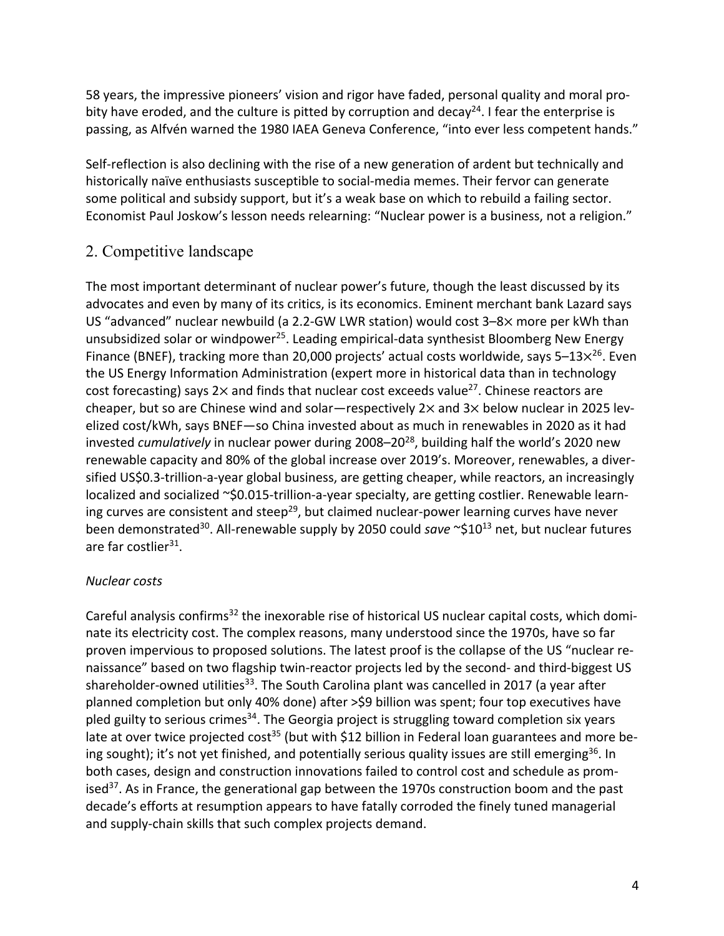58 years, the impressive pioneers' vision and rigor have faded, personal quality and moral probity have eroded, and the culture is pitted by corruption and decay<sup>24</sup>. I fear the enterprise is passing, as Alfvén warned the 1980 IAEA Geneva Conference, "into ever less competent hands."

Self-reflection is also declining with the rise of a new generation of ardent but technically and historically naïve enthusiasts susceptible to social-media memes. Their fervor can generate some political and subsidy support, but it's a weak base on which to rebuild a failing sector. Economist Paul Joskow's lesson needs relearning: "Nuclear power is a business, not a religion."

## 2. Competitive landscape

The most important determinant of nuclear power's future, though the least discussed by its advocates and even by many of its critics, is its economics. Eminent merchant bank Lazard says US "advanced" nuclear newbuild (a 2.2-GW LWR station) would cost  $3-8\times$  more per kWh than unsubsidized solar or windpower<sup>25</sup>. Leading empirical-data synthesist Bloomberg New Energy Finance (BNEF), tracking more than 20,000 projects' actual costs worldwide, says 5–13 $\times^{26}$ . Even the US Energy Information Administration (expert more in historical data than in technology cost forecasting) says 2 $\times$  and finds that nuclear cost exceeds value<sup>27</sup>. Chinese reactors are cheaper, but so are Chinese wind and solar—respectively  $2 \times$  and  $3 \times$  below nuclear in 2025 levelized cost/kWh, says BNEF—so China invested about as much in renewables in 2020 as it had invested *cumulatively* in nuclear power during 2008–2028, building half the world's 2020 new renewable capacity and 80% of the global increase over 2019's. Moreover, renewables, a diversified US\$0.3-trillion-a-year global business, are getting cheaper, while reactors, an increasingly localized and socialized ~\$0.015-trillion-a-year specialty, are getting costlier. Renewable learning curves are consistent and steep<sup>29</sup>, but claimed nuclear-power learning curves have never been demonstrated<sup>30</sup>. All-renewable supply by 2050 could *save* ~\$10<sup>13</sup> net, but nuclear futures are far costlier<sup>31</sup>.

### *Nuclear costs*

Careful analysis confirms<sup>32</sup> the inexorable rise of historical US nuclear capital costs, which dominate its electricity cost. The complex reasons, many understood since the 1970s, have so far proven impervious to proposed solutions. The latest proof is the collapse of the US "nuclear renaissance" based on two flagship twin-reactor projects led by the second- and third-biggest US shareholder-owned utilities<sup>33</sup>. The South Carolina plant was cancelled in 2017 (a year after planned completion but only 40% done) after >\$9 billion was spent; four top executives have pled guilty to serious crimes<sup>34</sup>. The Georgia project is struggling toward completion six years late at over twice projected cost<sup>35</sup> (but with \$12 billion in Federal loan guarantees and more being sought); it's not yet finished, and potentially serious quality issues are still emerging<sup>36</sup>. In both cases, design and construction innovations failed to control cost and schedule as promised $37$ . As in France, the generational gap between the 1970s construction boom and the past decade's efforts at resumption appears to have fatally corroded the finely tuned managerial and supply-chain skills that such complex projects demand.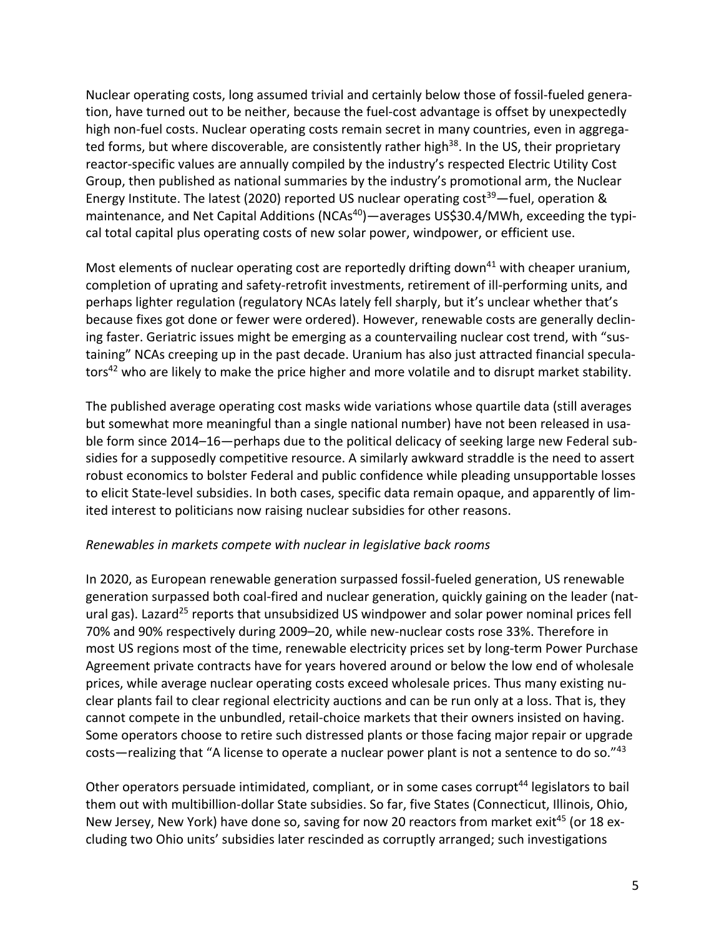Nuclear operating costs, long assumed trivial and certainly below those of fossil-fueled generation, have turned out to be neither, because the fuel-cost advantage is offset by unexpectedly high non-fuel costs. Nuclear operating costs remain secret in many countries, even in aggregated forms, but where discoverable, are consistently rather high<sup>38</sup>. In the US, their proprietary reactor-specific values are annually compiled by the industry's respected Electric Utility Cost Group, then published as national summaries by the industry's promotional arm, the Nuclear Energy Institute. The latest (2020) reported US nuclear operating cost<sup>39</sup>—fuel, operation & maintenance, and Net Capital Additions (NCAs<sup>40</sup>)—averages US\$30.4/MWh, exceeding the typical total capital plus operating costs of new solar power, windpower, or efficient use.

Most elements of nuclear operating cost are reportedly drifting down<sup>41</sup> with cheaper uranium, completion of uprating and safety-retrofit investments, retirement of ill-performing units, and perhaps lighter regulation (regulatory NCAs lately fell sharply, but it's unclear whether that's because fixes got done or fewer were ordered). However, renewable costs are generally declining faster. Geriatric issues might be emerging as a countervailing nuclear cost trend, with "sustaining" NCAs creeping up in the past decade. Uranium has also just attracted financial speculators<sup>42</sup> who are likely to make the price higher and more volatile and to disrupt market stability.

The published average operating cost masks wide variations whose quartile data (still averages but somewhat more meaningful than a single national number) have not been released in usable form since 2014–16—perhaps due to the political delicacy of seeking large new Federal subsidies for a supposedly competitive resource. A similarly awkward straddle is the need to assert robust economics to bolster Federal and public confidence while pleading unsupportable losses to elicit State-level subsidies. In both cases, specific data remain opaque, and apparently of limited interest to politicians now raising nuclear subsidies for other reasons.

#### *Renewables in markets compete with nuclear in legislative back rooms*

In 2020, as European renewable generation surpassed fossil-fueled generation, US renewable generation surpassed both coal-fired and nuclear generation, quickly gaining on the leader (natural gas). Lazard<sup>25</sup> reports that unsubsidized US windpower and solar power nominal prices fell 70% and 90% respectively during 2009–20, while new-nuclear costs rose 33%. Therefore in most US regions most of the time, renewable electricity prices set by long-term Power Purchase Agreement private contracts have for years hovered around or below the low end of wholesale prices, while average nuclear operating costs exceed wholesale prices. Thus many existing nuclear plants fail to clear regional electricity auctions and can be run only at a loss. That is, they cannot compete in the unbundled, retail-choice markets that their owners insisted on having. Some operators choose to retire such distressed plants or those facing major repair or upgrade costs—realizing that "A license to operate a nuclear power plant is not a sentence to do so."43

Other operators persuade intimidated, compliant, or in some cases corrupt<sup>44</sup> legislators to bail them out with multibillion-dollar State subsidies. So far, five States (Connecticut, Illinois, Ohio, New Jersey, New York) have done so, saving for now 20 reactors from market exit<sup>45</sup> (or 18 excluding two Ohio units' subsidies later rescinded as corruptly arranged; such investigations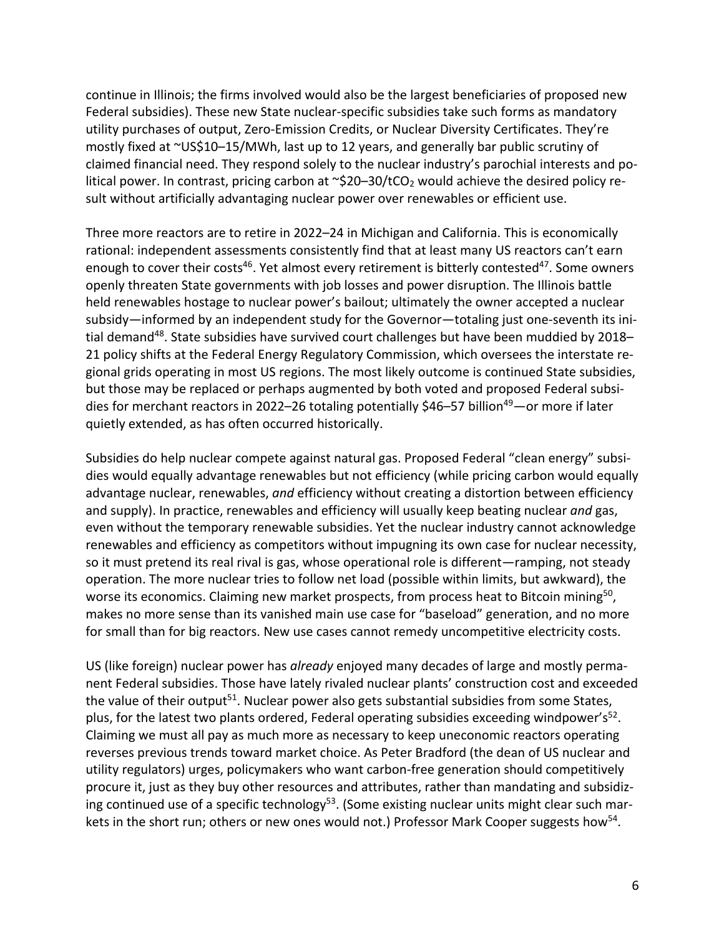continue in Illinois; the firms involved would also be the largest beneficiaries of proposed new Federal subsidies). These new State nuclear-specific subsidies take such forms as mandatory utility purchases of output, Zero-Emission Credits, or Nuclear Diversity Certificates. They're mostly fixed at ~US\$10–15/MWh, last up to 12 years, and generally bar public scrutiny of claimed financial need. They respond solely to the nuclear industry's parochial interests and political power. In contrast, pricing carbon at  $\sim$ \$20–30/tCO<sub>2</sub> would achieve the desired policy result without artificially advantaging nuclear power over renewables or efficient use.

Three more reactors are to retire in 2022–24 in Michigan and California. This is economically rational: independent assessments consistently find that at least many US reactors can't earn enough to cover their costs<sup>46</sup>. Yet almost every retirement is bitterly contested<sup>47</sup>. Some owners openly threaten State governments with job losses and power disruption. The Illinois battle held renewables hostage to nuclear power's bailout; ultimately the owner accepted a nuclear subsidy—informed by an independent study for the Governor—totaling just one-seventh its initial demand<sup>48</sup>. State subsidies have survived court challenges but have been muddied by 2018– 21 policy shifts at the Federal Energy Regulatory Commission, which oversees the interstate regional grids operating in most US regions. The most likely outcome is continued State subsidies, but those may be replaced or perhaps augmented by both voted and proposed Federal subsidies for merchant reactors in 2022–26 totaling potentially \$46–57 billion<sup>49</sup>—or more if later quietly extended, as has often occurred historically.

Subsidies do help nuclear compete against natural gas. Proposed Federal "clean energy" subsidies would equally advantage renewables but not efficiency (while pricing carbon would equally advantage nuclear, renewables, *and* efficiency without creating a distortion between efficiency and supply). In practice, renewables and efficiency will usually keep beating nuclear *and* gas, even without the temporary renewable subsidies. Yet the nuclear industry cannot acknowledge renewables and efficiency as competitors without impugning its own case for nuclear necessity, so it must pretend its real rival is gas, whose operational role is different—ramping, not steady operation. The more nuclear tries to follow net load (possible within limits, but awkward), the worse its economics. Claiming new market prospects, from process heat to Bitcoin mining<sup>50</sup>, makes no more sense than its vanished main use case for "baseload" generation, and no more for small than for big reactors. New use cases cannot remedy uncompetitive electricity costs.

US (like foreign) nuclear power has *already* enjoyed many decades of large and mostly permanent Federal subsidies. Those have lately rivaled nuclear plants' construction cost and exceeded the value of their output<sup>51</sup>. Nuclear power also gets substantial subsidies from some States, plus, for the latest two plants ordered, Federal operating subsidies exceeding windpower's<sup>52</sup>. Claiming we must all pay as much more as necessary to keep uneconomic reactors operating reverses previous trends toward market choice. As Peter Bradford (the dean of US nuclear and utility regulators) urges, policymakers who want carbon-free generation should competitively procure it, just as they buy other resources and attributes, rather than mandating and subsidizing continued use of a specific technology<sup>53</sup>. (Some existing nuclear units might clear such markets in the short run; others or new ones would not.) Professor Mark Cooper suggests how<sup>54</sup>.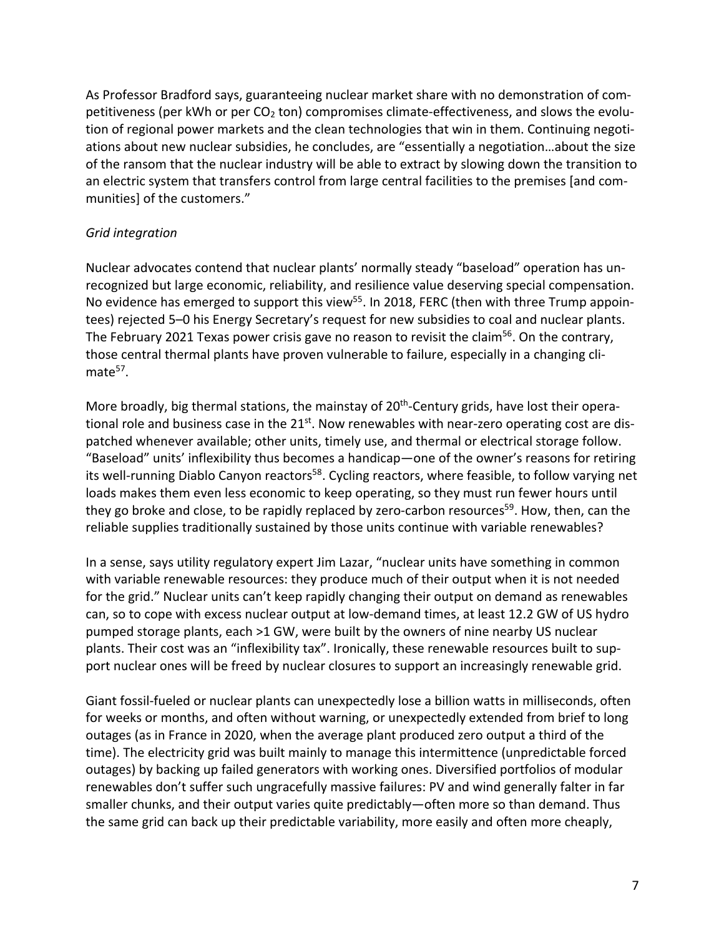As Professor Bradford says, guaranteeing nuclear market share with no demonstration of competitiveness (per kWh or per  $CO<sub>2</sub>$  ton) compromises climate-effectiveness, and slows the evolution of regional power markets and the clean technologies that win in them. Continuing negotiations about new nuclear subsidies, he concludes, are "essentially a negotiation…about the size of the ransom that the nuclear industry will be able to extract by slowing down the transition to an electric system that transfers control from large central facilities to the premises [and communities] of the customers."

#### *Grid integration*

Nuclear advocates contend that nuclear plants' normally steady "baseload" operation has unrecognized but large economic, reliability, and resilience value deserving special compensation. No evidence has emerged to support this view<sup>55</sup>. In 2018, FERC (then with three Trump appointees) rejected 5–0 his Energy Secretary's request for new subsidies to coal and nuclear plants. The February 2021 Texas power crisis gave no reason to revisit the claim<sup>56</sup>. On the contrary, those central thermal plants have proven vulnerable to failure, especially in a changing cli $mate<sup>57</sup>$ .

More broadly, big thermal stations, the mainstay of 20<sup>th</sup>-Century grids, have lost their operational role and business case in the 21<sup>st</sup>. Now renewables with near-zero operating cost are dispatched whenever available; other units, timely use, and thermal or electrical storage follow. "Baseload" units' inflexibility thus becomes a handicap—one of the owner's reasons for retiring its well-running Diablo Canyon reactors<sup>58</sup>. Cycling reactors, where feasible, to follow varying net loads makes them even less economic to keep operating, so they must run fewer hours until they go broke and close, to be rapidly replaced by zero-carbon resources<sup>59</sup>. How, then, can the reliable supplies traditionally sustained by those units continue with variable renewables?

In a sense, says utility regulatory expert Jim Lazar, "nuclear units have something in common with variable renewable resources: they produce much of their output when it is not needed for the grid." Nuclear units can't keep rapidly changing their output on demand as renewables can, so to cope with excess nuclear output at low-demand times, at least 12.2 GW of US hydro pumped storage plants, each >1 GW, were built by the owners of nine nearby US nuclear plants. Their cost was an "inflexibility tax". Ironically, these renewable resources built to support nuclear ones will be freed by nuclear closures to support an increasingly renewable grid.

Giant fossil-fueled or nuclear plants can unexpectedly lose a billion watts in milliseconds, often for weeks or months, and often without warning, or unexpectedly extended from brief to long outages (as in France in 2020, when the average plant produced zero output a third of the time). The electricity grid was built mainly to manage this intermittence (unpredictable forced outages) by backing up failed generators with working ones. Diversified portfolios of modular renewables don't suffer such ungracefully massive failures: PV and wind generally falter in far smaller chunks, and their output varies quite predictably—often more so than demand. Thus the same grid can back up their predictable variability, more easily and often more cheaply,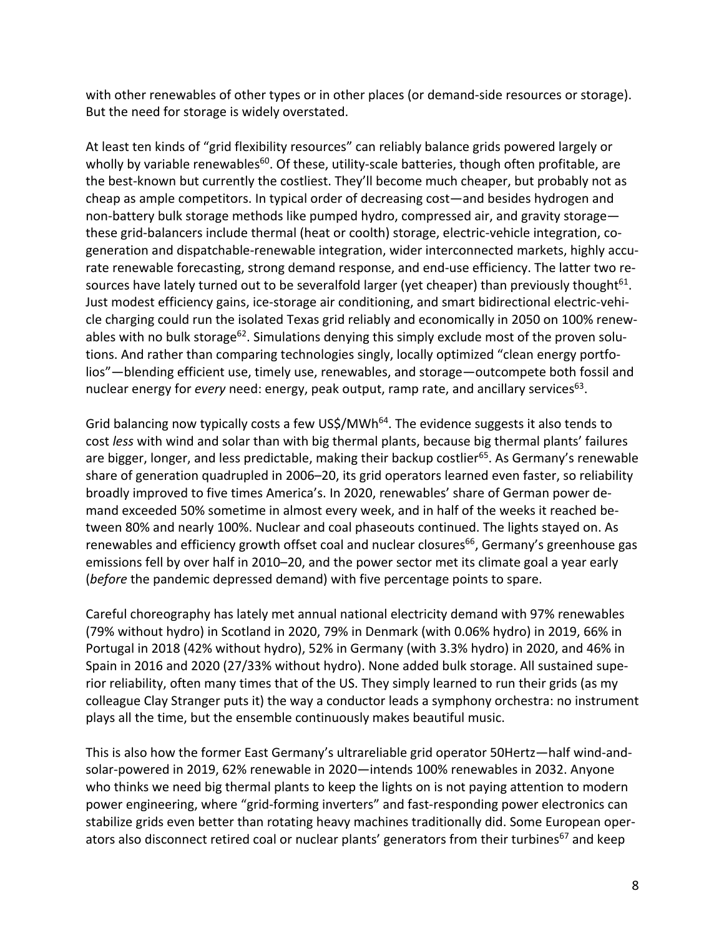with other renewables of other types or in other places (or demand-side resources or storage). But the need for storage is widely overstated.

At least ten kinds of "grid flexibility resources" can reliably balance grids powered largely or wholly by variable renewables<sup>60</sup>. Of these, utility-scale batteries, though often profitable, are the best-known but currently the costliest. They'll become much cheaper, but probably not as cheap as ample competitors. In typical order of decreasing cost—and besides hydrogen and non-battery bulk storage methods like pumped hydro, compressed air, and gravity storage these grid-balancers include thermal (heat or coolth) storage, electric-vehicle integration, cogeneration and dispatchable-renewable integration, wider interconnected markets, highly accurate renewable forecasting, strong demand response, and end-use efficiency. The latter two resources have lately turned out to be severalfold larger (yet cheaper) than previously thought<sup>61</sup>. Just modest efficiency gains, ice-storage air conditioning, and smart bidirectional electric-vehicle charging could run the isolated Texas grid reliably and economically in 2050 on 100% renewables with no bulk storage<sup>62</sup>. Simulations denying this simply exclude most of the proven solutions. And rather than comparing technologies singly, locally optimized "clean energy portfolios"—blending efficient use, timely use, renewables, and storage—outcompete both fossil and nuclear energy for *every* need: energy, peak output, ramp rate, and ancillary services<sup>63</sup>.

Grid balancing now typically costs a few US\$/MWh<sup>64</sup>. The evidence suggests it also tends to cost *less* with wind and solar than with big thermal plants, because big thermal plants' failures are bigger, longer, and less predictable, making their backup costlier<sup>65</sup>. As Germany's renewable share of generation quadrupled in 2006–20, its grid operators learned even faster, so reliability broadly improved to five times America's. In 2020, renewables' share of German power demand exceeded 50% sometime in almost every week, and in half of the weeks it reached between 80% and nearly 100%. Nuclear and coal phaseouts continued. The lights stayed on. As renewables and efficiency growth offset coal and nuclear closures<sup>66</sup>, Germany's greenhouse gas emissions fell by over half in 2010–20, and the power sector met its climate goal a year early (*before* the pandemic depressed demand) with five percentage points to spare.

Careful choreography has lately met annual national electricity demand with 97% renewables (79% without hydro) in Scotland in 2020, 79% in Denmark (with 0.06% hydro) in 2019, 66% in Portugal in 2018 (42% without hydro), 52% in Germany (with 3.3% hydro) in 2020, and 46% in Spain in 2016 and 2020 (27/33% without hydro). None added bulk storage. All sustained superior reliability, often many times that of the US. They simply learned to run their grids (as my colleague Clay Stranger puts it) the way a conductor leads a symphony orchestra: no instrument plays all the time, but the ensemble continuously makes beautiful music.

This is also how the former East Germany's ultrareliable grid operator 50Hertz—half wind-andsolar-powered in 2019, 62% renewable in 2020—intends 100% renewables in 2032. Anyone who thinks we need big thermal plants to keep the lights on is not paying attention to modern power engineering, where "grid-forming inverters" and fast-responding power electronics can stabilize grids even better than rotating heavy machines traditionally did. Some European operators also disconnect retired coal or nuclear plants' generators from their turbines<sup>67</sup> and keep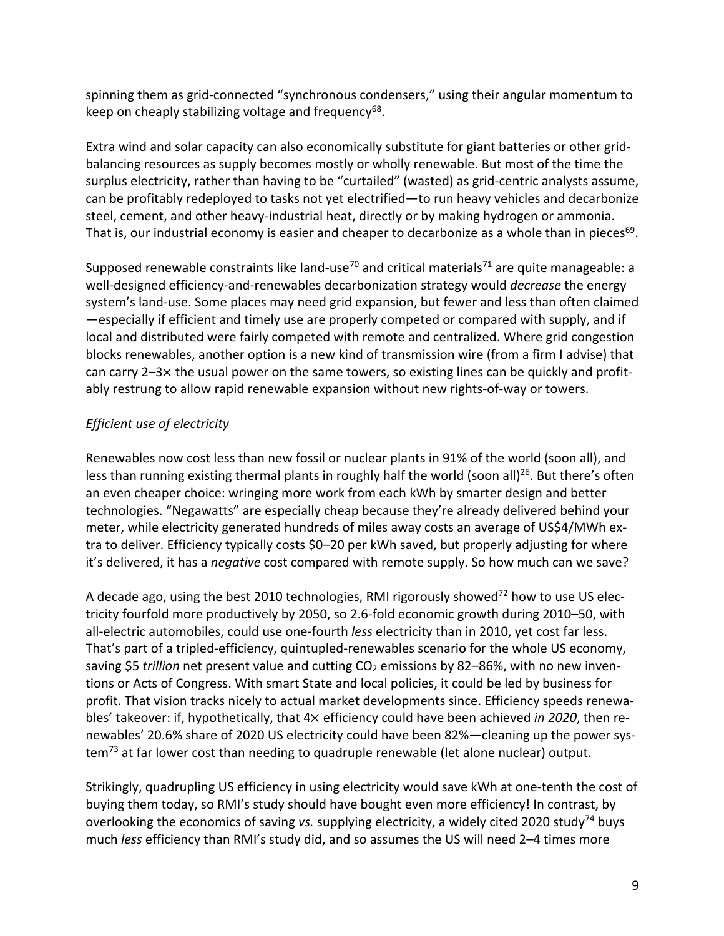spinning them as grid-connected "synchronous condensers," using their angular momentum to keep on cheaply stabilizing voltage and frequency<sup>68</sup>.

Extra wind and solar capacity can also economically substitute for giant batteries or other gridbalancing resources as supply becomes mostly or wholly renewable. But most of the time the surplus electricity, rather than having to be "curtailed" (wasted) as grid-centric analysts assume, can be profitably redeployed to tasks not yet electrified—to run heavy vehicles and decarbonize steel, cement, and other heavy-industrial heat, directly or by making hydrogen or ammonia. That is, our industrial economy is easier and cheaper to decarbonize as a whole than in pieces<sup>69</sup>.

Supposed renewable constraints like land-use<sup>70</sup> and critical materials<sup>71</sup> are quite manageable: a well-designed efficiency-and-renewables decarbonization strategy would *decrease* the energy system's land-use. Some places may need grid expansion, but fewer and less than often claimed —especially if efficient and timely use are properly competed or compared with supply, and if local and distributed were fairly competed with remote and centralized. Where grid congestion blocks renewables, another option is a new kind of transmission wire (from a firm I advise) that can carry  $2-3\times$  the usual power on the same towers, so existing lines can be quickly and profitably restrung to allow rapid renewable expansion without new rights-of-way or towers.

## *Efficient use of electricity*

Renewables now cost less than new fossil or nuclear plants in 91% of the world (soon all), and less than running existing thermal plants in roughly half the world (soon all)<sup>26</sup>. But there's often an even cheaper choice: wringing more work from each kWh by smarter design and better technologies. "Negawatts" are especially cheap because they're already delivered behind your meter, while electricity generated hundreds of miles away costs an average of US\$4/MWh extra to deliver. Efficiency typically costs \$0–20 per kWh saved, but properly adjusting for where it's delivered, it has a *negative* cost compared with remote supply. So how much can we save?

A decade ago, using the best 2010 technologies, RMI rigorously showed<sup>72</sup> how to use US electricity fourfold more productively by 2050, so 2.6-fold economic growth during 2010–50, with all-electric automobiles, could use one-fourth *less* electricity than in 2010, yet cost far less. That's part of a tripled-efficiency, quintupled-renewables scenario for the whole US economy, saving \$5 *trillion* net present value and cutting CO<sub>2</sub> emissions by 82–86%, with no new inventions or Acts of Congress. With smart State and local policies, it could be led by business for profit. That vision tracks nicely to actual market developments since. Efficiency speeds renewables' takeover: if, hypothetically, that 4× efficiency could have been achieved *in 2020*, then renewables' 20.6% share of 2020 US electricity could have been 82%—cleaning up the power system<sup>73</sup> at far lower cost than needing to quadruple renewable (let alone nuclear) output.

Strikingly, quadrupling US efficiency in using electricity would save kWh at one-tenth the cost of buying them today, so RMI's study should have bought even more efficiency! In contrast, by overlooking the economics of saving *vs.* supplying electricity, a widely cited 2020 study74 buys much *less* efficiency than RMI's study did, and so assumes the US will need 2–4 times more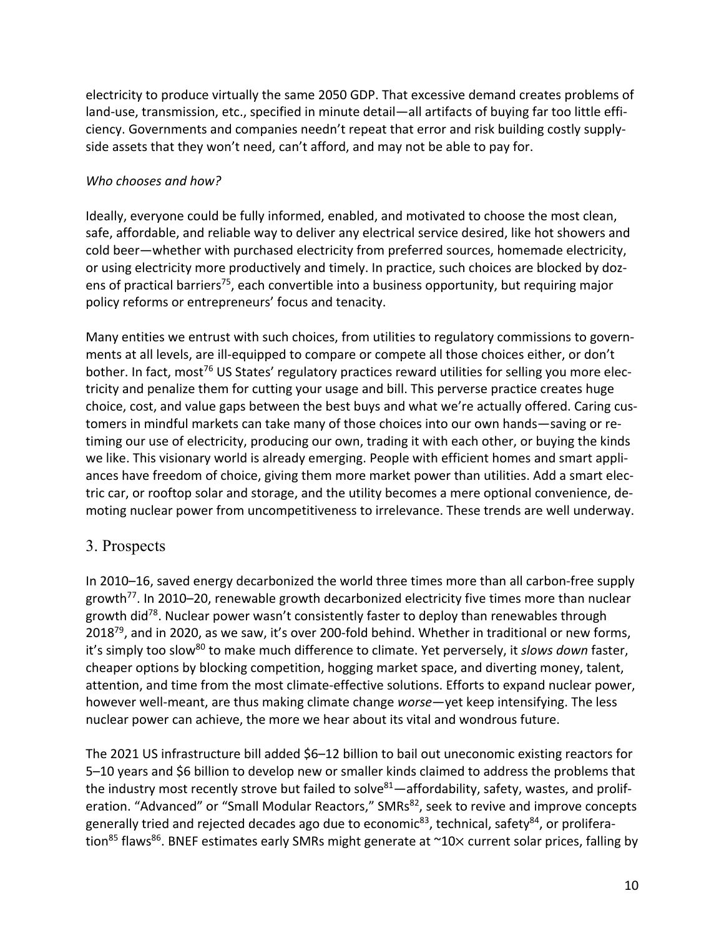electricity to produce virtually the same 2050 GDP. That excessive demand creates problems of land-use, transmission, etc., specified in minute detail—all artifacts of buying far too little efficiency. Governments and companies needn't repeat that error and risk building costly supplyside assets that they won't need, can't afford, and may not be able to pay for.

#### *Who chooses and how?*

Ideally, everyone could be fully informed, enabled, and motivated to choose the most clean, safe, affordable, and reliable way to deliver any electrical service desired, like hot showers and cold beer—whether with purchased electricity from preferred sources, homemade electricity, or using electricity more productively and timely. In practice, such choices are blocked by dozens of practical barriers<sup>75</sup>, each convertible into a business opportunity, but requiring major policy reforms or entrepreneurs' focus and tenacity.

Many entities we entrust with such choices, from utilities to regulatory commissions to governments at all levels, are ill-equipped to compare or compete all those choices either, or don't bother. In fact, most<sup>76</sup> US States' regulatory practices reward utilities for selling you more electricity and penalize them for cutting your usage and bill. This perverse practice creates huge choice, cost, and value gaps between the best buys and what we're actually offered. Caring customers in mindful markets can take many of those choices into our own hands—saving or retiming our use of electricity, producing our own, trading it with each other, or buying the kinds we like. This visionary world is already emerging. People with efficient homes and smart appliances have freedom of choice, giving them more market power than utilities. Add a smart electric car, or rooftop solar and storage, and the utility becomes a mere optional convenience, demoting nuclear power from uncompetitiveness to irrelevance. These trends are well underway.

### 3. Prospects

In 2010–16, saved energy decarbonized the world three times more than all carbon-free supply growth<sup>77</sup>. In 2010–20, renewable growth decarbonized electricity five times more than nuclear growth did<sup>78</sup>. Nuclear power wasn't consistently faster to deploy than renewables through 2018<sup>79</sup>, and in 2020, as we saw, it's over 200-fold behind. Whether in traditional or new forms, it's simply too slow<sup>80</sup> to make much difference to climate. Yet perversely, it *slows down* faster, cheaper options by blocking competition, hogging market space, and diverting money, talent, attention, and time from the most climate-effective solutions. Efforts to expand nuclear power, however well-meant, are thus making climate change *worse*—yet keep intensifying. The less nuclear power can achieve, the more we hear about its vital and wondrous future.

The 2021 US infrastructure bill added \$6–12 billion to bail out uneconomic existing reactors for 5–10 years and \$6 billion to develop new or smaller kinds claimed to address the problems that the industry most recently strove but failed to solve $^{81}$ —affordability, safety, wastes, and proliferation. "Advanced" or "Small Modular Reactors," SMRs<sup>82</sup>, seek to revive and improve concepts generally tried and rejected decades ago due to economic<sup>83</sup>, technical, safety<sup>84</sup>, or proliferation<sup>85</sup> flaws<sup>86</sup>. BNEF estimates early SMRs might generate at  $\sim$ 10 $\times$  current solar prices, falling by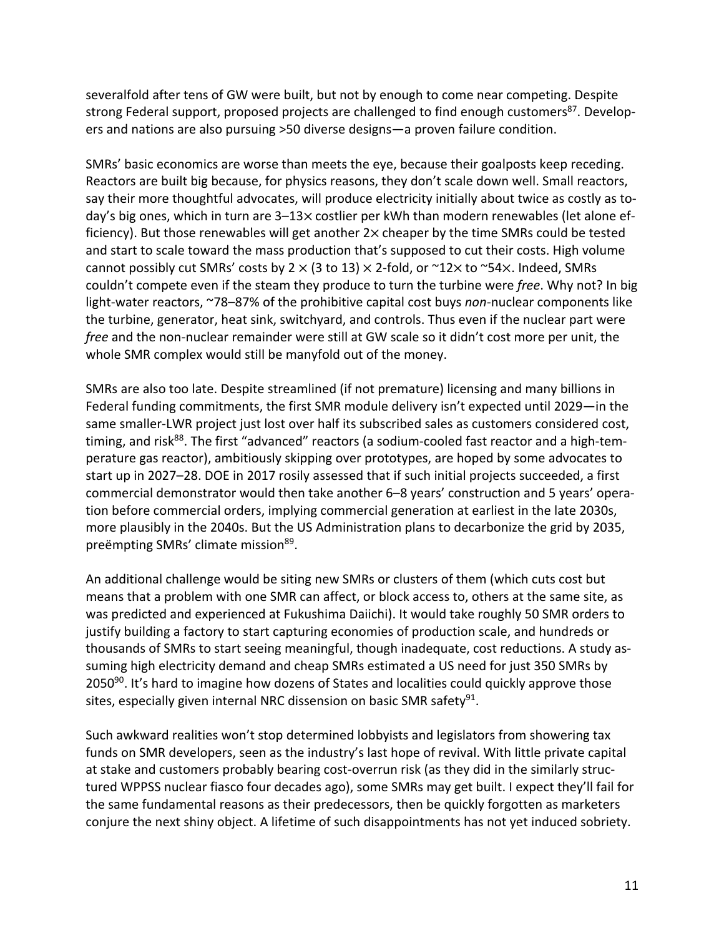severalfold after tens of GW were built, but not by enough to come near competing. Despite strong Federal support, proposed projects are challenged to find enough customers<sup>87</sup>. Developers and nations are also pursuing >50 diverse designs—a proven failure condition.

SMRs' basic economics are worse than meets the eye, because their goalposts keep receding. Reactors are built big because, for physics reasons, they don't scale down well. Small reactors, say their more thoughtful advocates, will produce electricity initially about twice as costly as today's big ones, which in turn are 3–13× costlier per kWh than modern renewables (let alone efficiency). But those renewables will get another  $2 \times$  cheaper by the time SMRs could be tested and start to scale toward the mass production that's supposed to cut their costs. High volume cannot possibly cut SMRs' costs by  $2 \times (3 \text{ to } 13) \times 2$ -fold, or  $\sim 12 \times$  to  $\sim 54 \times$ . Indeed, SMRs couldn't compete even if the steam they produce to turn the turbine were *free*. Why not? In big light-water reactors, ~78–87% of the prohibitive capital cost buys *non-*nuclear components like the turbine, generator, heat sink, switchyard, and controls. Thus even if the nuclear part were *free* and the non-nuclear remainder were still at GW scale so it didn't cost more per unit, the whole SMR complex would still be manyfold out of the money.

SMRs are also too late. Despite streamlined (if not premature) licensing and many billions in Federal funding commitments, the first SMR module delivery isn't expected until 2029—in the same smaller-LWR project just lost over half its subscribed sales as customers considered cost, timing, and risk<sup>88</sup>. The first "advanced" reactors (a sodium-cooled fast reactor and a high-temperature gas reactor), ambitiously skipping over prototypes, are hoped by some advocates to start up in 2027–28. DOE in 2017 rosily assessed that if such initial projects succeeded, a first commercial demonstrator would then take another 6–8 years' construction and 5 years' operation before commercial orders, implying commercial generation at earliest in the late 2030s, more plausibly in the 2040s. But the US Administration plans to decarbonize the grid by 2035, preëmpting SMRs' climate mission<sup>89</sup>.

An additional challenge would be siting new SMRs or clusters of them (which cuts cost but means that a problem with one SMR can affect, or block access to, others at the same site, as was predicted and experienced at Fukushima Daiichi). It would take roughly 50 SMR orders to justify building a factory to start capturing economies of production scale, and hundreds or thousands of SMRs to start seeing meaningful, though inadequate, cost reductions. A study assuming high electricity demand and cheap SMRs estimated a US need for just 350 SMRs by 2050 $90$ . It's hard to imagine how dozens of States and localities could quickly approve those sites, especially given internal NRC dissension on basic SMR safety<sup>91</sup>.

Such awkward realities won't stop determined lobbyists and legislators from showering tax funds on SMR developers, seen as the industry's last hope of revival. With little private capital at stake and customers probably bearing cost-overrun risk (as they did in the similarly structured WPPSS nuclear fiasco four decades ago), some SMRs may get built. I expect they'll fail for the same fundamental reasons as their predecessors, then be quickly forgotten as marketers conjure the next shiny object. A lifetime of such disappointments has not yet induced sobriety.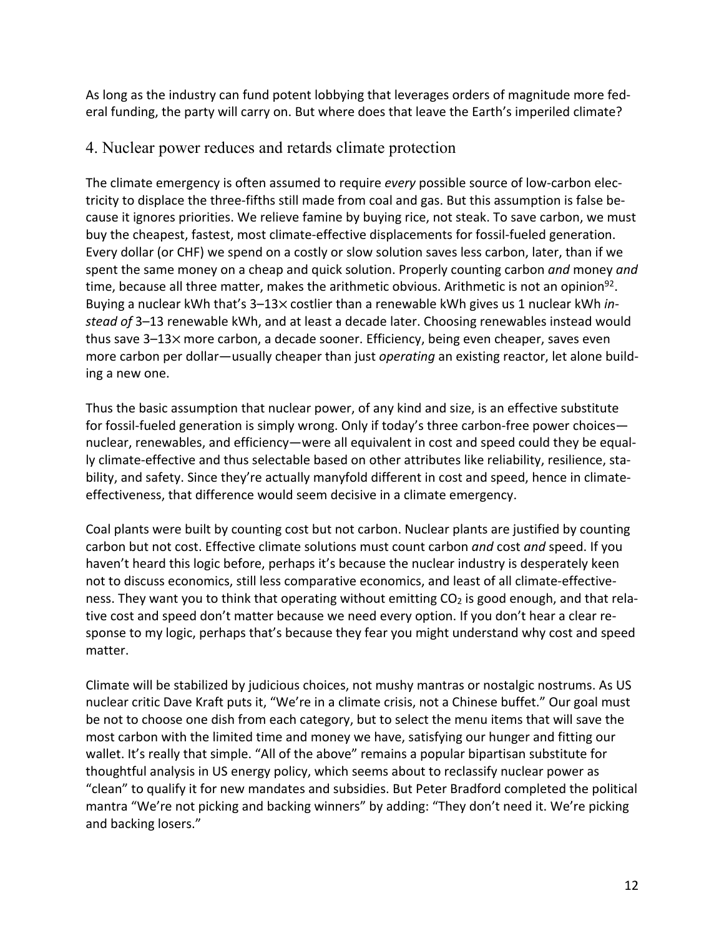As long as the industry can fund potent lobbying that leverages orders of magnitude more federal funding, the party will carry on. But where does that leave the Earth's imperiled climate?

## 4. Nuclear power reduces and retards climate protection

The climate emergency is often assumed to require *every* possible source of low-carbon electricity to displace the three-fifths still made from coal and gas. But this assumption is false because it ignores priorities. We relieve famine by buying rice, not steak. To save carbon, we must buy the cheapest, fastest, most climate-effective displacements for fossil-fueled generation. Every dollar (or CHF) we spend on a costly or slow solution saves less carbon, later, than if we spent the same money on a cheap and quick solution. Properly counting carbon *and* money *and*  time, because all three matter, makes the arithmetic obvious. Arithmetic is not an opinion<sup>92</sup>. Buying a nuclear kWh that's 3-13x costlier than a renewable kWh gives us 1 nuclear kWh *instead of* 3–13 renewable kWh, and at least a decade later. Choosing renewables instead would thus save 3–13⨉ more carbon, a decade sooner. Efficiency, being even cheaper, saves even more carbon per dollar—usually cheaper than just *operating* an existing reactor, let alone building a new one.

Thus the basic assumption that nuclear power, of any kind and size, is an effective substitute for fossil-fueled generation is simply wrong. Only if today's three carbon-free power choices nuclear, renewables, and efficiency—were all equivalent in cost and speed could they be equally climate-effective and thus selectable based on other attributes like reliability, resilience, stability, and safety. Since they're actually manyfold different in cost and speed, hence in climateeffectiveness, that difference would seem decisive in a climate emergency.

Coal plants were built by counting cost but not carbon. Nuclear plants are justified by counting carbon but not cost. Effective climate solutions must count carbon *and* cost *and* speed. If you haven't heard this logic before, perhaps it's because the nuclear industry is desperately keen not to discuss economics, still less comparative economics, and least of all climate-effectiveness. They want you to think that operating without emitting CO<sub>2</sub> is good enough, and that relative cost and speed don't matter because we need every option. If you don't hear a clear response to my logic, perhaps that's because they fear you might understand why cost and speed matter.

Climate will be stabilized by judicious choices, not mushy mantras or nostalgic nostrums. As US nuclear critic Dave Kraft puts it, "We're in a climate crisis, not a Chinese buffet." Our goal must be not to choose one dish from each category, but to select the menu items that will save the most carbon with the limited time and money we have, satisfying our hunger and fitting our wallet. It's really that simple. "All of the above" remains a popular bipartisan substitute for thoughtful analysis in US energy policy, which seems about to reclassify nuclear power as "clean" to qualify it for new mandates and subsidies. But Peter Bradford completed the political mantra "We're not picking and backing winners" by adding: "They don't need it. We're picking and backing losers."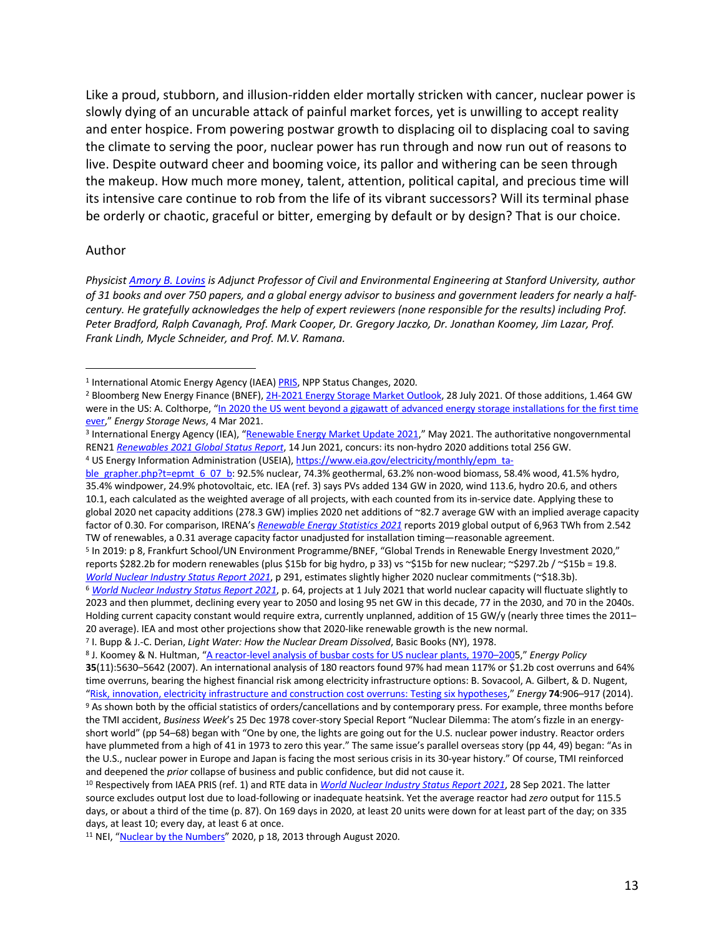Like a proud, stubborn, and illusion-ridden elder mortally stricken with cancer, nuclear power is slowly dying of an uncurable attack of painful market forces, yet is unwilling to accept reality and enter hospice. From powering postwar growth to displacing oil to displacing coal to saving the climate to serving the poor, nuclear power has run through and now run out of reasons to live. Despite outward cheer and booming voice, its pallor and withering can be seen through the makeup. How much more money, talent, attention, political capital, and precious time will its intensive care continue to rob from the life of its vibrant successors? Will its terminal phase be orderly or chaotic, graceful or bitter, emerging by default or by design? That is our choice.

#### Author

*Physicist Amory B. Lovins is Adjunct Professor of Civil and Environmental Engineering at Stanford University, author of 31 books and over 750 papers, and a global energy advisor to business and government leaders for nearly a halfcentury. He gratefully acknowledges the help of expert reviewers (none responsible for the results) including Prof. Peter Bradford, Ralph Cavanagh, Prof. Mark Cooper, Dr. Gregory Jaczko, Dr. Jonathan Koomey, Jim Lazar, Prof. Frank Lindh, Mycle Schneider, and Prof. M.V. Ramana.*

<sup>&</sup>lt;sup>1</sup> International Atomic Energy Agency (IAEA) PRIS, NPP Status Changes, 2020.

<sup>&</sup>lt;sup>2</sup> Bloomberg New Energy Finance (BNEF), 2H-2021 Energy Storage Market Outlook, 28 July 2021. Of those additions, 1.464 GW were in the US: A. Colthorpe, "In 2020 the US went beyond a gigawatt of advanced energy storage installations for the first time ever," *Energy Storage News*, 4 Mar 2021.

<sup>3</sup> International Energy Agency (IEA), "Renewable Energy Market Update 2021," May 2021. The authoritative nongovernmental REN21 *Renewables 2021 Global Status Report*, 14 Jun 2021, concurs: its non-hydro 2020 additions total 256 GW. 4 US Energy Information Administration (USEIA), https://www.eia.gov/electricity/monthly/epm\_ta-

ble\_grapher.php?t=epmt\_6\_07\_b: 92.5% nuclear, 74.3% geothermal, 63.2% non-wood biomass, 58.4% wood, 41.5% hydro, 35.4% windpower, 24.9% photovoltaic, etc. IEA (ref. 3) says PVs added 134 GW in 2020, wind 113.6, hydro 20.6, and others 10.1, each calculated as the weighted average of all projects, with each counted from its in-service date. Applying these to global 2020 net capacity additions (278.3 GW) implies 2020 net additions of ~82.7 average GW with an implied average capacity factor of 0.30. For comparison, IRENA's *Renewable Energy Statistics 2021* reports 2019 global output of 6,963 TWh from 2.542 TW of renewables, a 0.31 average capacity factor unadjusted for installation timing—reasonable agreement.

<sup>5</sup> In 2019: p 8, Frankfurt School/UN Environment Programme/BNEF, "Global Trends in Renewable Energy Investment 2020," reports \$282.2b for modern renewables (plus \$15b for big hydro, p 33) vs ~\$15b for new nuclear; ~\$297.2b / ~\$15b = 19.8. *World Nuclear Industry Status Report 2021*, p 291, estimates slightly higher 2020 nuclear commitments (~\$18.3b). <sup>6</sup> *World Nuclear Industry Status Report 2021*, p. 64, projects at 1 July 2021 that world nuclear capacity will fluctuate slightly to 2023 and then plummet, declining every year to 2050 and losing 95 net GW in this decade, 77 in the 2030, and 70 in the 2040s. Holding current capacity constant would require extra, currently unplanned, addition of 15 GW/y (nearly three times the 2011–

<sup>20</sup> average). IEA and most other projections show that 2020-like renewable growth is the new normal.

<sup>7</sup> I. Bupp & J.-C. Derian, *Light Water: How the Nuclear Dream Dissolved*, Basic Books (NY), 1978.

<sup>8</sup> J. Koomey & N. Hultman, "A reactor-level analysis of busbar costs for US nuclear plants, 1970–2005," *Energy Policy* 

**<sup>35</sup>**(11):5630–5642 (2007). An international analysis of 180 reactors found 97% had mean 117% or \$1.2b cost overruns and 64% time overruns, bearing the highest financial risk among electricity infrastructure options: B. Sovacool, A. Gilbert, & D. Nugent, "Risk, innovation, electricity infrastructure and construction cost overruns: Testing six hypotheses," *Energy* **74**:906–917 (2014).

<sup>9</sup> As shown both by the official statistics of orders/cancellations and by contemporary press. For example, three months before the TMI accident, *Business Week*'s 25 Dec 1978 cover-story Special Report "Nuclear Dilemma: The atom's fizzle in an energyshort world" (pp 54–68) began with "One by one, the lights are going out for the U.S. nuclear power industry. Reactor orders have plummeted from a high of 41 in 1973 to zero this year." The same issue's parallel overseas story (pp 44, 49) began: "As in the U.S., nuclear power in Europe and Japan is facing the most serious crisis in its 30-year history." Of course, TMI reinforced and deepened the *prior* collapse of business and public confidence, but did not cause it.

<sup>10</sup> Respectively from IAEA PRIS (ref. 1) and RTE data in *World Nuclear Industry Status Report 2021*, 28 Sep 2021. The latter source excludes output lost due to load-following or inadequate heatsink. Yet the average reactor had *zero* output for 115.5 days, or about a third of the time (p. 87). On 169 days in 2020, at least 20 units were down for at least part of the day; on 335 days, at least 10; every day, at least 6 at once.

<sup>&</sup>lt;sup>11</sup> NEI, "Nuclear by the Numbers" 2020, p 18, 2013 through August 2020.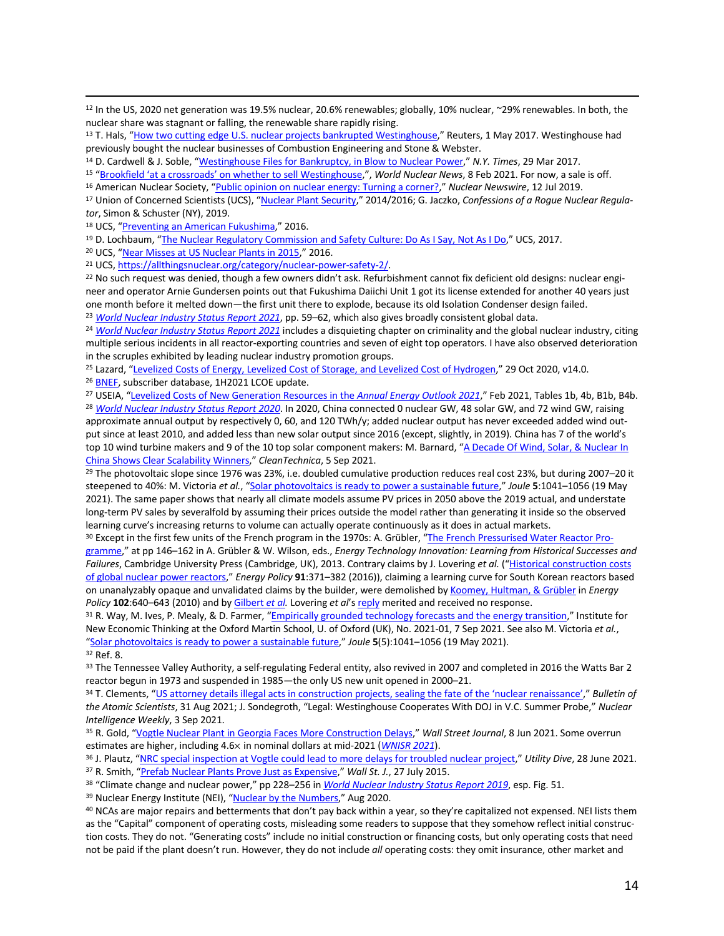<sup>12</sup> In the US, 2020 net generation was 19.5% nuclear, 20.6% renewables; globally, 10% nuclear, ~29% renewables. In both, the nuclear share was stagnant or falling, the renewable share rapidly rising.

<sup>14</sup> D. Cardwell & J. Soble, "Westinghouse Files for Bankruptcy, in Blow to Nuclear Power," *N.Y. Times*, 29 Mar 2017.

<sup>15</sup> "Brookfield 'at a crossroads' on whether to sell Westinghouse,", *World Nuclear News*, 8 Feb 2021. For now, a sale is off.

<sup>17</sup> Union of Concerned Scientists (UCS), "Nuclear Plant Security," 2014/2016; G. Jaczko, *Confessions of a Rogue Nuclear Regulator*, Simon & Schuster (NY), 2019.

18 UCS, "Preventing an American Fukushima," 2016.

<sup>19</sup> D. Lochbaum, "The Nuclear Regulatory Commission and Safety Culture: Do As I Say, Not As I Do," UCS, 2017.

<sup>20</sup> UCS, "Near Misses at US Nuclear Plants in 2015," 2016.

<sup>21</sup> UCS, https://allthingsnuclear.org/category/nuclear-power-safety-2/.<br><sup>22</sup> No such request was denied, though a few owners didn't ask. Refurbishment cannot fix deficient old designs: nuclear engineer and operator Arnie Gundersen points out that Fukushima Daiichi Unit 1 got its license extended for another 40 years just one month before it melted down—the first unit there to explode, because its old Isolation Condenser design failed.

<sup>23</sup> *World Nuclear Industry Status Report 2021*, pp. 59–62, which also gives broadly consistent global data.

<sup>24</sup> *World Nuclear Industry Status Report 2021* includes a disquieting chapter on criminality and the global nuclear industry, citing multiple serious incidents in all reactor-exporting countries and seven of eight top operators. I have also observed deterioration in the scruples exhibited by leading nuclear industry promotion groups.

<sup>25</sup> Lazard, "Levelized Costs of Energy, Levelized Cost of Storage, and Levelized Cost of Hydrogen," 29 Oct 2020, v14.0.

<sup>26</sup> BNEF, subscriber database, 1H2021 LCOE update.

<sup>27</sup> USEIA, "Levelized Costs of New Generation Resources in the *Annual Energy Outlook 2021*," Feb 2021, Tables 1b, 4b, B1b, B4b.

<sup>28</sup> *World Nuclear Industry Status Report 2020*. In 2020, China connected 0 nuclear GW, 48 solar GW, and 72 wind GW, raising approximate annual output by respectively 0, 60, and 120 TWh/y; added nuclear output has never exceeded added wind output since at least 2010, and added less than new solar output since 2016 (except, slightly, in 2019). China has 7 of the world's top 10 wind turbine makers and 9 of the 10 top solar component makers: M. Barnard, "A Decade Of Wind, Solar, & Nuclear In China Shows Clear Scalability Winners," *CleanTechnica*, 5 Sep 2021.

<sup>29</sup> The photovoltaic slope since 1976 was 23%, i.e. doubled cumulative production reduces real cost 23%, but during 2007–20 it steepened to 40%: M. Victoria *et al.*, "Solar photovoltaics is ready to power a sustainable future," *Joule* **5**:1041–1056 (19 May 2021). The same paper shows that nearly all climate models assume PV prices in 2050 above the 2019 actual, and understate long-term PV sales by severalfold by assuming their prices outside the model rather than generating it inside so the observed learning curve's increasing returns to volume can actually operate continuously as it does in actual markets.

<sup>30</sup> Except in the first few units of the French program in the 1970s: A. Grübler, "The French Pressurised Water Reactor Programme," at pp 146–162 in A. Grübler & W. Wilson, eds., *Energy Technology Innovation: Learning from Historical Successes and Failures*, Cambridge University Press (Cambridge, UK), 2013. Contrary claims by J. Lovering *et al.* ("Historical construction costs of global nuclear power reactors," *Energy Policy* **91**:371–382 (2016)), claiming a learning curve for South Korean reactors based on unanalyzably opaque and unvalidated claims by the builder, were demolished by Koomey, Hultman, & Grübler in *Energy Policy* **102**:640–643 (2010) and by Gilbert *et al.* Lovering *et al*'s reply merited and received no response.

31 R. Way, M. Ives, P. Mealy, & D. Farmer, "Empirically grounded technology forecasts and the energy transition," Institute for New Economic Thinking at the Oxford Martin School, U. of Oxford (UK), No. 2021-01, 7 Sep 2021. See also M. Victoria *et al.*, "Solar photovoltaics is ready to power a sustainable future," *Joule* **5**(5):1041–1056 (19 May 2021). <sup>32</sup> Ref. 8.

<sup>33</sup> The Tennessee Valley Authority, a self-regulating Federal entity, also revived in 2007 and completed in 2016 the Watts Bar 2 reactor begun in 1973 and suspended in 1985—the only US new unit opened in 2000–21.

<sup>34</sup> T. Clements, "US attorney details illegal acts in construction projects, sealing the fate of the 'nuclear renaissance'," *Bulletin of the Atomic Scientists*, 31 Aug 2021; J. Sondegroth, "Legal: Westinghouse Cooperates With DOJ in V.C. Summer Probe," *Nuclear Intelligence Weekly*, 3 Sep 2021.

<sup>35</sup> R. Gold, "Vogtle Nuclear Plant in Georgia Faces More Construction Delays," *Wall Street Journal*, 8 Jun 2021. Some overrun estimates are higher, including 4.6× in nominal dollars at mid-2021 (*WNISR 2021*).

<sup>36</sup> J. Plautz, "NRC special inspection at Vogtle could lead to more delays for troubled nuclear project," *Utility Dive*, 28 June 2021. <sup>37</sup> R. Smith, "Prefab Nuclear Plants Prove Just as Expensive," *Wall St. J.*, 27 July 2015.

<sup>38</sup> "Climate change and nuclear power," pp 228–256 in *World Nuclear Industry Status Report 2019*, esp. Fig. 51.

39 Nuclear Energy Institute (NEI), "Nuclear by the Numbers," Aug 2020.

<sup>40</sup> NCAs are major repairs and betterments that don't pay back within a year, so they're capitalized not expensed. NEI lists them as the "Capital" component of operating costs, misleading some readers to suppose that they somehow reflect initial construction costs. They do not. "Generating costs" include no initial construction or financing costs, but only operating costs that need not be paid if the plant doesn't run. However, they do not include *all* operating costs: they omit insurance, other market and

<sup>&</sup>lt;sup>13</sup> T. Hals, "How two cutting edge U.S. nuclear projects bankrupted Westinghouse," Reuters, 1 May 2017. Westinghouse had previously bought the nuclear businesses of Combustion Engineering and Stone & Webster.

<sup>16</sup> American Nuclear Society, "Public opinion on nuclear energy: Turning a corner?," *Nuclear Newswire*, 12 Jul 2019.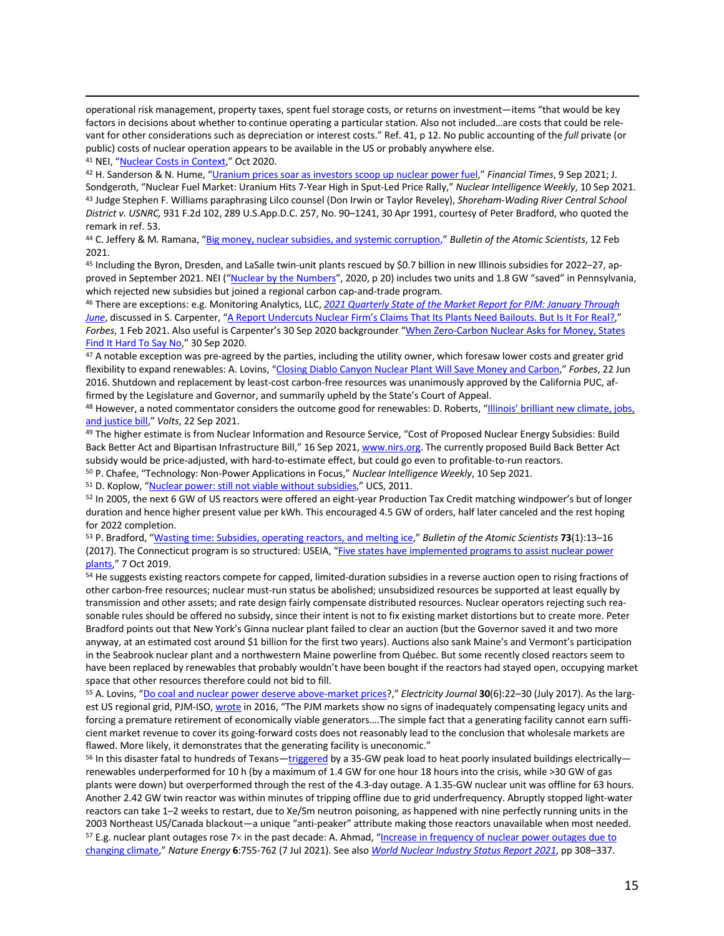operational risk management, property taxes, spent fuel storage costs, or returns on investment—items "that would be key factors in decisions about whether to continue operating a particular station. Also not included…are costs that could be relevant for other considerations such as depreciation or interest costs." Ref. 41, p 12. No public accounting of the *full* private (or public) costs of nuclear operation appears to be available in the US or probably anywhere else.

41 NEI, "Nuclear Costs in Context," Oct 2020.

<sup>42</sup> H. Sanderson & N. Hume, "Uranium prices soar as investors scoop up nuclear power fuel," *Financial Times*, 9 Sep 2021; J. Sondgeroth, "Nuclear Fuel Market: Uranium Hits 7-Year High in Sput-Led Price Rally," *Nuclear Intelligence Weekly*, 10 Sep 2021. <sup>43</sup> Judge Stephen F. Williams paraphrasing Lilco counsel (Don Irwin or Taylor Reveley), *Shoreham-Wading River Central School District v. USNRC,* 931 F.2d 102, 289 U.S.App.D.C. 257, No. 90–1241, 30 Apr 1991, courtesy of Peter Bradford, who quoted the remark in ref. 53.

<sup>44</sup> C. Jeffery & M. Ramana, "Big money, nuclear subsidies, and systemic corruption," *Bulletin of the Atomic Scientists*, 12 Feb 2021.

<sup>45</sup> Including the Byron, Dresden, and LaSalle twin-unit plants rescued by \$0.7 billion in new Illinois subsidies for 2022–27, approved in September 2021. NEI ("Nuclear by the Numbers", 2020, p 20) includes two units and 1.8 GW "saved" in Pennsylvania, which rejected new subsidies but joined a regional carbon cap-and-trade program.

<sup>46</sup> There are exceptions: e.g. Monitoring Analytics, LLC, *2021 Quarterly State of the Market Report for PJM: January Through June*, discussed in S. Carpenter, "A Report Undercuts Nuclear Firm's Claims That Its Plants Need Bailouts. But Is It For Real?," *Forbes*, 1 Feb 2021. Also useful is Carpenter's 30 Sep 2020 backgrounder "When Zero-Carbon Nuclear Asks for Money, States Find It Hard To Say No," 30 Sep 2020.

47 A notable exception was pre-agreed by the parties, including the utility owner, which foresaw lower costs and greater grid flexibility to expand renewables: A. Lovins, "Closing Diablo Canyon Nuclear Plant Will Save Money and Carbon," *Forbes*, 22 Jun 2016. Shutdown and replacement by least-cost carbon-free resources was unanimously approved by the California PUC, affirmed by the Legislature and Governor, and summarily upheld by the State's Court of Appeal.

48 However, a noted commentator considers the outcome good for renewables: D. Roberts, "Illinois' brilliant new climate, jobs, and justice bill," *Volts*, 22 Sep 2021.

49 The higher estimate is from Nuclear Information and Resource Service, "Cost of Proposed Nuclear Energy Subsidies: Build Back Better Act and Bipartisan Infrastructure Bill," 16 Sep 2021, www.nirs.org. The currently proposed Build Back Better Act subsidy would be price-adjusted, with hard-to-estimate effect, but could go even to profitable-to-run reactors.

<sup>50</sup> P. Chafee, "Technology: Non-Power Applications in Focus," *Nuclear Intelligence Weekly*, 10 Sep 2021.<br><sup>51</sup> D. Koplow, "Nuclear power: still not viable without subsidies," UCS, 2011.

<sup>52</sup> In 2005, the next 6 GW of US reactors were offered an eight-year Production Tax Credit matching windpower's but of longer duration and hence higher present value per kWh. This encouraged 4.5 GW of orders, half later canceled and the rest hoping for 2022 completion.

<sup>53</sup> P. Bradford, "Wasting time: Subsidies, operating reactors, and melting ice," *Bulletin of the Atomic Scientists* **73**(1):13–16 (2017). The Connecticut program is so structured: USEIA, "Five states have implemented programs to assist nuclear power plants," 7 Oct 2019.<br><sup>54</sup> He suggests existing reactors compete for capped, limited-duration subsidies in a reverse auction open to rising fractions of

other carbon-free resources; nuclear must-run status be abolished; unsubsidized resources be supported at least equally by transmission and other assets; and rate design fairly compensate distributed resources. Nuclear operators rejecting such reasonable rules should be offered no subsidy, since their intent is not to fix existing market distortions but to create more. Peter Bradford points out that New York's Ginna nuclear plant failed to clear an auction (but the Governor saved it and two more anyway, at an estimated cost around \$1 billion for the first two years). Auctions also sank Maine's and Vermont's participation in the Seabrook nuclear plant and a northwestern Maine powerline from Québec. But some recently closed reactors seem to have been replaced by renewables that probably wouldn't have been bought if the reactors had stayed open, occupying market space that other resources therefore could not bid to fill.

<sup>55</sup> A. Lovins, "Do coal and nuclear power deserve above-market prices?," *Electricity Journal* **30**(6):22–30 (July 2017). As the largest US regional grid, PJM-ISO, wrote in 2016, "The PJM markets show no signs of inadequately compensating legacy units and forcing a premature retirement of economically viable generators….The simple fact that a generating facility cannot earn sufficient market revenue to cover its going-forward costs does not reasonably lead to the conclusion that wholesale markets are flawed. More likely, it demonstrates that the generating facility is uneconomic."

<sup>56</sup> In this disaster fatal to hundreds of Texans—triggered by a 35-GW peak load to heat poorly insulated buildings electrically renewables underperformed for 10 h (by a maximum of 1.4 GW for one hour 18 hours into the crisis, while >30 GW of gas plants were down) but overperformed through the rest of the 4.3-day outage. A 1.35-GW nuclear unit was offline for 63 hours. Another 2.42 GW twin reactor was within minutes of tripping offline due to grid underfrequency. Abruptly stopped light-water reactors can take 1–2 weeks to restart, due to Xe/Sm neutron poisoning, as happened with nine perfectly running units in the 2003 Northeast US/Canada blackout—a unique "anti-peaker" attribute making those reactors unavailable when most needed.  $57$  E.g. nuclear plant outages rose 7 $\times$  in the past decade: A. Ahmad, "Increase in frequency of nuclear power outages due to changing climate," *Nature Energy* **6**:755-762 (7 Jul 2021). See also *World Nuclear Industry Status Report 2021*, pp 308–337.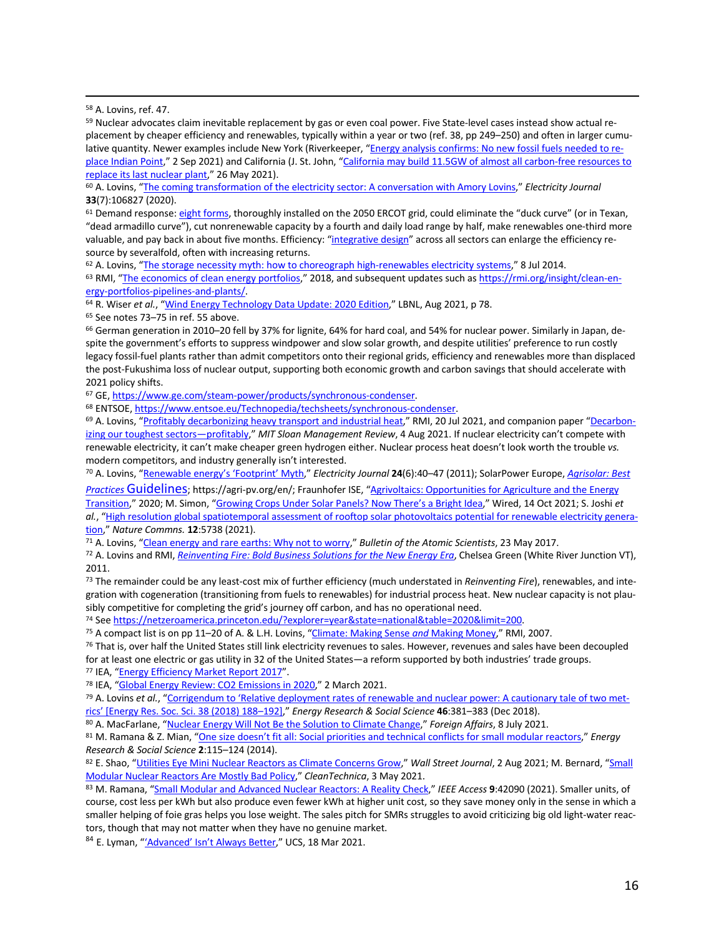<sup>58</sup> A. Lovins, ref. 47.

59 Nuclear advocates claim inevitable replacement by gas or even coal power. Five State-level cases instead show actual replacement by cheaper efficiency and renewables, typically within a year or two (ref. 38, pp 249–250) and often in larger cumulative quantity. Newer examples include New York (Riverkeeper, "Energy analysis confirms: No new fossil fuels needed to replace Indian Point," 2 Sep 2021) and California (J. St. John, "California may build 11.5GW of almost all carbon-free resources to replace its last nuclear plant," 26 May 2021).

<sup>60</sup> A. Lovins, "The coming transformation of the electricity sector: A conversation with Amory Lovins," *Electricity Journal* **33**(7):106827 (2020).

61 Demand response: eight forms, thoroughly installed on the 2050 ERCOT grid, could eliminate the "duck curve" (or in Texan, "dead armadillo curve"), cut nonrenewable capacity by a fourth and daily load range by half, make renewables one-third more valuable, and pay back in about five months. Efficiency: "integrative design" across all sectors can enlarge the efficiency resource by severalfold, often with increasing returns.

<sup>62</sup> A. Lovins, "The storage necessity myth: how to choreograph high-renewables electricity systems," 8 Jul 2014.

63 RMI, "The economics of clean energy portfolios," 2018, and subsequent updates such as https://rmi.org/insight/clean-energy-portfolios-pipelines-and-plants/. 64 R. Wiser *et al.*, "Wind Energy Technology Data Update: 2020 Edition," LBNL, Aug 2021, p 78.

<sup>65</sup> See notes 73–75 in ref. 55 above.

<sup>66</sup> German generation in 2010–20 fell by 37% for lignite, 64% for hard coal, and 54% for nuclear power. Similarly in Japan, despite the government's efforts to suppress windpower and slow solar growth, and despite utilities' preference to run costly legacy fossil-fuel plants rather than admit competitors onto their regional grids, efficiency and renewables more than displaced the post-Fukushima loss of nuclear output, supporting both economic growth and carbon savings that should accelerate with 2021 policy shifts.

<sup>67</sup> GE, https://www.ge.com/steam-power/products/synchronous-condenser.

<sup>68</sup> ENTSOE, https://www.entsoe.eu/Technopedia/techsheets/synchronous-condenser.

<sup>69</sup> A. Lovins, "Profitably decarbonizing heavy transport and industrial heat," RMI, 20 Jul 2021, and companion paper "Decarbonizing our toughest sectors—profitably," *MIT Sloan Management Review*, 4 Aug 2021. If nuclear electricity can't compete with renewable electricity, it can't make cheaper green hydrogen either. Nuclear process heat doesn't look worth the trouble *vs.*  modern competitors, and industry generally isn't interested.

<sup>70</sup> A. Lovins, "Renewable energy's 'Footprint' Myth," *Electricity Journal* **24**(6):40–47 (2011); SolarPower Europe, *Agrisolar: Best* 

*Practices* Guidelines; https://agri-pv.org/en/; Fraunhofer ISE, "Agrivoltaics: Opportunities for Agriculture and the Energy

Transition," 2020; M. Simon, "Growing Crops Under Solar Panels? Now There's a Bright Idea," Wired, 14 Oct 2021; S. Joshi *et al.*, "High resolution global spatiotemporal assessment of rooftop solar photovoltaics potential for renewable electricity generation," *Nature Commns.* **12**:5738 (2021).

<sup>71</sup> A. Lovins, "Clean energy and rare earths: Why not to worry," *Bulletin of the Atomic Scientists*, 23 May 2017.

<sup>72</sup> A. Lovins and RMI, *Reinventing Fire: Bold Business Solutions for the New Energy Era*, Chelsea Green (White River Junction VT), 2011.

<sup>73</sup> The remainder could be any least-cost mix of further efficiency (much understated in *Reinventing Fire*), renewables, and integration with cogeneration (transitioning from fuels to renewables) for industrial process heat. New nuclear capacity is not plausibly competitive for completing the grid's journey off carbon, and has no operational need.

<sup>74</sup> See https://netzeroamerica.princeton.edu/?explorer=year&state=national&table=2020&limit=200. 75 A compact list is on pp 11–20 of A. & L.H. Lovins, "Climate: Making Sense *and* Making Money," RMI, 2007.

<sup>76</sup> That is, over half the United States still link electricity revenues to sales. However, revenues and sales have been decoupled for at least one electric or gas utility in 32 of the United States—a reform supported by both industries' trade groups.

<sup>77</sup> IEA, "Energy Efficiency Market Report 2017".

<sup>78</sup> IEA, "Global Energy Review: CO2 Emissions in 2020," 2 March 2021.

<sup>79</sup> A. Lovins *et al.*, "Corrigendum to 'Relative deployment rates of renewable and nuclear power: A cautionary tale of two metrics' [Energy Res. Soc. Sci. 38 (2018) 188–192]," *Energy Research & Social Science* **46**:381–383 (Dec 2018).

<sup>80</sup> A. MacFarlane, "Nuclear Energy Will Not Be the Solution to Climate Change," Foreign Affairs, 8 July 2021.<br><sup>81</sup> M. Ramana & Z. Mian, "<u>One size doesn't fit all: Social priorities and technical conflicts for small modul</u> *Research & Social Science* **2**:115–124 (2014).

82 E. Shao, "Utilities Eye Mini Nuclear Reactors as Climate Concerns Grow," Wall Street Journal, 2 Aug 2021; M. Bernard, "Small Modular Nuclear Reactors Are Mostly Bad Policy," *CleanTechnica*, 3 May 2021.

<sup>83</sup> M. Ramana, "Small Modular and Advanced Nuclear Reactors: A Reality Check," *IEEE Access* **9**:42090 (2021). Smaller units, of course, cost less per kWh but also produce even fewer kWh at higher unit cost, so they save money only in the sense in which a smaller helping of foie gras helps you lose weight. The sales pitch for SMRs struggles to avoid criticizing big old light-water reactors, though that may not matter when they have no genuine market.

84 E. Lyman, "'Advanced' Isn't Always Better," UCS, 18 Mar 2021.